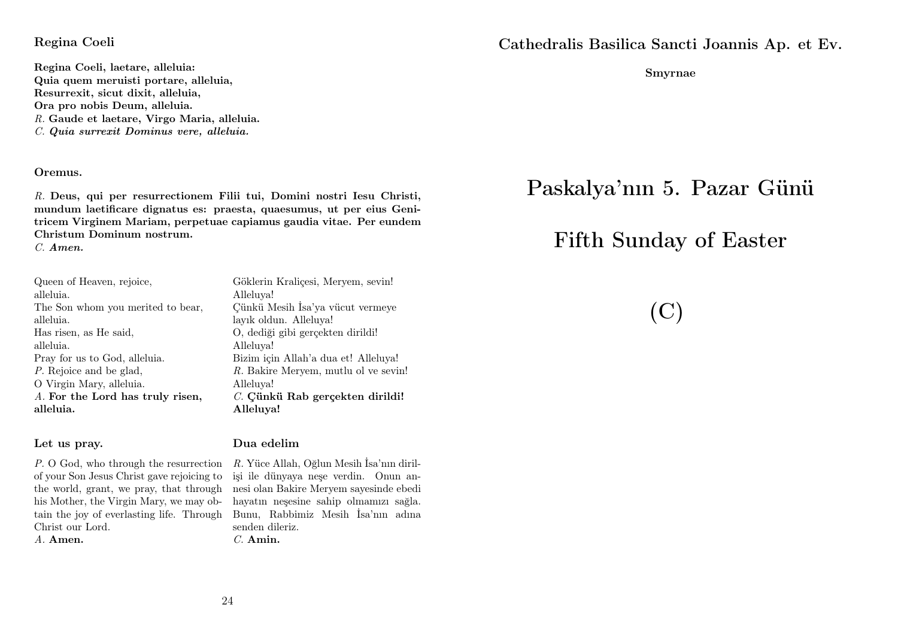#### Regina Coeli

Regina Coeli, laetare, alleluia: Quia quem meruisti portare, alleluia, Resurrexit, sicut dixit, alleluia, Ora pro nobis Deum, alleluia. R. Gaude et laetare, Virgo Maria, alleluia. C. Quia surrexit Dominus vere, alleluia.

#### Oremus.

R. Deus, qui per resurrectionem Filii tui, Domini nostri Iesu Christi, mundum laetificare dignatus es: praesta, quaesumus, ut per eius Genitricem Virginem Mariam, perpetuae capiamus gaudia vitae. Per eundem Christum Dominum nostrum.

C. Amen.

| Queen of Heaven, rejoice,         |
|-----------------------------------|
| alleluia.                         |
| The Son whom you merited to bear, |
| alleluia.                         |
| Has risen, as He said,            |
| alleluia.                         |
| Pray for us to God, alleluia.     |
| P. Rejoice and be glad,           |
| O Virgin Mary, alleluia.          |
| A. For the Lord has truly risen,  |
| alleluia.                         |

#### Let us pray.

P. O God, who through the resurrection R. Yüce Allah, Oğlun Mesih İsa'nın dirilof your Son Jesus Christ gave rejoicing to the world, grant, we pray, that through nesi olan Bakire Meryem sayesinde ebedi his Mother, the Virgin Mary, we may obtain the joy of everlasting life. Through Bunu, Rabbimiz Mesih İsa'nın adına Christ our Lord. A. Amen.

Alleluya! Çünkü Mesih İsa'ya vücut vermeye layık oldun. Alleluya! O, dediği gibi gerçekten dirildi! Alleluya! Bizim için Allah'a dua et! Alleluya! R. Bakire Meryem, mutlu ol ve sevin! Alleluya! C. Cünkü Rab gerçekten dirildi! Alleluya!

Göklerin Kraliçesi, Meryem, sevin!

#### Dua edelim

işi ile dünyaya neşe verdin. Onun anhayatın neşesine sahip olmamızı sağla. senden dileriz. C. Amin.

Smyrnae

# Paskalya'nın 5. Pazar Günü

# Fifth Sunday of Easter

(C)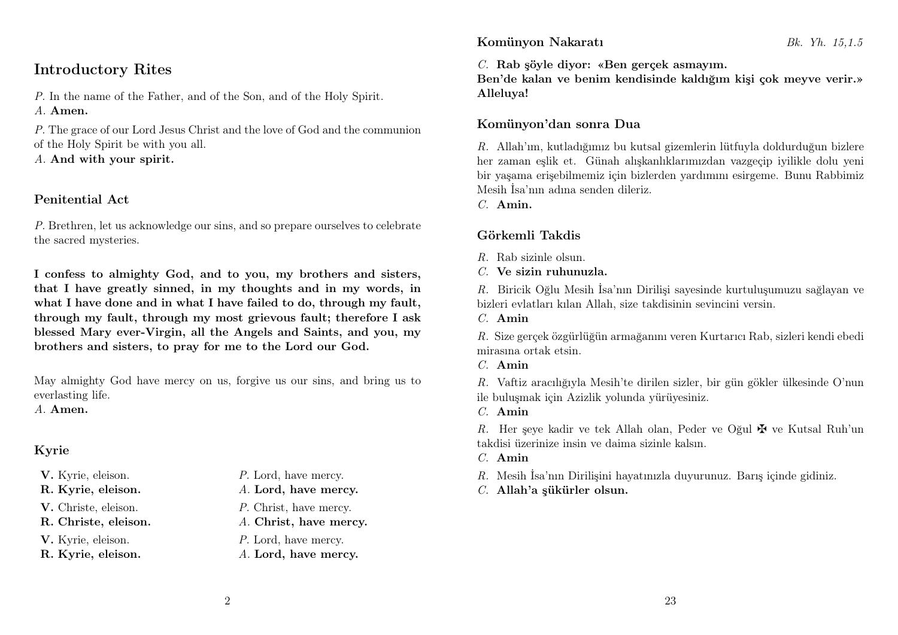# Introductory Rites

P. In the name of the Father, and of the Son, and of the Holy Spirit. A. Amen.

P. The grace of our Lord Jesus Christ and the love of God and the communion of the Holy Spirit be with you all.

A. And with your spirit.

### Penitential Act

P. Brethren, let us acknowledge our sins, and so prepare ourselves to celebrate the sacred mysteries.

I confess to almighty God, and to you, my brothers and sisters, that I have greatly sinned, in my thoughts and in my words, in what I have done and in what I have failed to do, through my fault, through my fault, through my most grievous fault; therefore I ask blessed Mary ever-Virgin, all the Angels and Saints, and you, my brothers and sisters, to pray for me to the Lord our God.

May almighty God have mercy on us, forgive us our sins, and bring us to everlasting life.

A. Amen.

# Kyrie

- 
- 
- 
- 

- V. Kyrie, eleison.  $P.$  Lord, have mercy.
- R. Kyrie, eleison. A. Lord, have mercy.
- V. Christe, eleison. P. Christ, have mercy.
- R. Christe, eleison. A. Christ, have mercy.
- V. Kyrie, eleison.  $P$ . Lord, have mercy.
- R. Kyrie, eleison. A. Lord, have mercy.

#### Komünyon Nakaratı Bk. Yh. 15,1.5

C. Rab şöyle diyor: «Ben gerçek asmayım.

Ben'de kalan ve benim kendisinde kaldığım kişi çok meyve verir.» Alleluya!

## Komünyon'dan sonra Dua

R. Allah'ım, kutladığımız bu kutsal gizemlerin lütfuyla doldurduğun bizlere her zaman eşlik et. Günah alışkanlıklarımızdan vazgeçip iyilikle dolu yeni bir yaşama erişebilmemiz için bizlerden yardımını esirgeme. Bunu Rabbimiz Mesih İsa'nın adına senden dileriz.

C. Amin.

# Görkemli Takdis

- $R$ . Rab sizinle olsun.
- C. Ve sizin ruhunuzla.

R. Biricik Oğlu Mesih İsa'nın Dirilişi sayesinde kurtuluşumuzu sağlayan ve bizleri evlatları kılan Allah, size takdisinin sevincini versin.

C. Amin

R. Size gerçek özgürlüğün armağanını veren Kurtarıcı Rab, sizleri kendi ebedi mirasına ortak etsin.

C. Amin

R. Vaftiz aracılığıyla Mesih'te dirilen sizler, bir gün gökler ülkesinde O'nun ile buluşmak için Azizlik yolunda yürüyesiniz.

C. Amin

R. Her seye kadir ve tek Allah olan, Peder ve Oğul  $\mathbf{\nabla}$  ve Kutsal Ruh'un takdisi üzerinize insin ve daima sizinle kalsın.

- C. Amin
- R. Mesih İsa'nın Dirilişini hayatınızla duyurunuz. Barış içinde gidiniz.
- C. Allah'a şükürler olsun.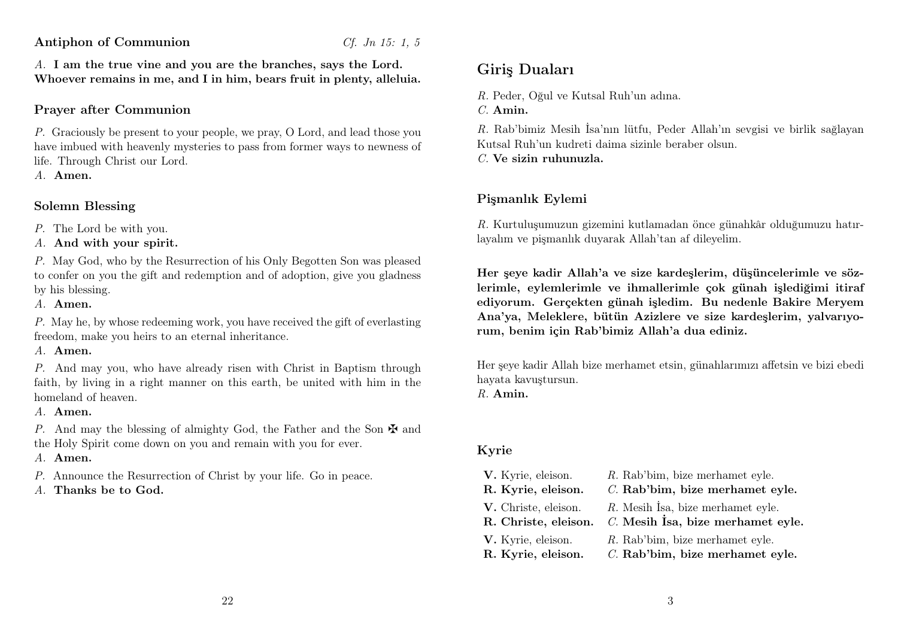Antiphon of Communion Cf. Jn 15: 1, 5

A. I am the true vine and you are the branches, says the Lord. Whoever remains in me, and I in him, bears fruit in plenty, alleluia.

## Prayer after Communion

P. Graciously be present to your people, we pray, O Lord, and lead those you have imbued with heavenly mysteries to pass from former ways to newness of life. Through Christ our Lord.

A. Amen.

## Solemn Blessing

P. The Lord be with you.

A. And with your spirit.

P. May God, who by the Resurrection of his Only Begotten Son was pleased to confer on you the gift and redemption and of adoption, give you gladness by his blessing.

A. Amen.

P. May he, by whose redeeming work, you have received the gift of everlasting freedom, make you heirs to an eternal inheritance.

A. Amen.

P. And may you, who have already risen with Christ in Baptism through faith, by living in a right manner on this earth, be united with him in the homeland of heaven.

A. Amen.

P. And may the blessing of almighty God, the Father and the Son  $\mathbf{\Psi}$  and the Holy Spirit come down on you and remain with you for ever.

A. Amen.

P. Announce the Resurrection of Christ by your life. Go in peace.

A. Thanks be to God.

# Giriş Duaları

R. Peder, Oğul ve Kutsal Ruh'un adına.

C. Amin.

R. Rab'bimiz Mesih İsa'nın lütfu, Peder Allah'ın sevgisi ve birlik sağlayan Kutsal Ruh'un kudreti daima sizinle beraber olsun.

 $C$ . Ve sizin ruhunuzla.

# Pişmanlık Eylemi

R. Kurtuluşumuzun gizemini kutlamadan önce günahkâr olduğumuzu hatırlayalım ve pişmanlık duyarak Allah'tan af dileyelim.

Her şeye kadir Allah'a ve size kardeşlerim, düşüncelerimle ve sözlerimle, eylemlerimle ve ihmallerimle çok günah işlediğimi itiraf ediyorum. Gerçekten günah işledim. Bu nedenle Bakire Meryem Ana'ya, Meleklere, bütün Azizlere ve size kardeşlerim, yalvarıyorum, benim için Rab'bimiz Allah'a dua ediniz.

Her şeye kadir Allah bize merhamet etsin, günahlarımızı affetsin ve bizi ebedi hayata kavuştursun.

R. Amin.

# Kyrie

| V. Kyrie, eleison.   | R. Rab'bim, bize merhamet eyle.     |
|----------------------|-------------------------------------|
| R. Kyrie, eleison.   | C. Rab'bim, bize merhamet eyle.     |
| V. Christe, eleison. | R. Mesih İsa, bize merhamet eyle.   |
| R. Christe, eleison. | $C.$ Mesih Isa, bize merhamet eyle. |
| V. Kyrie, eleison.   | R. Rab'bim, bize merhamet eyle.     |
| R. Kyrie, eleison.   | C. Rab'bim, bize merhamet eyle.     |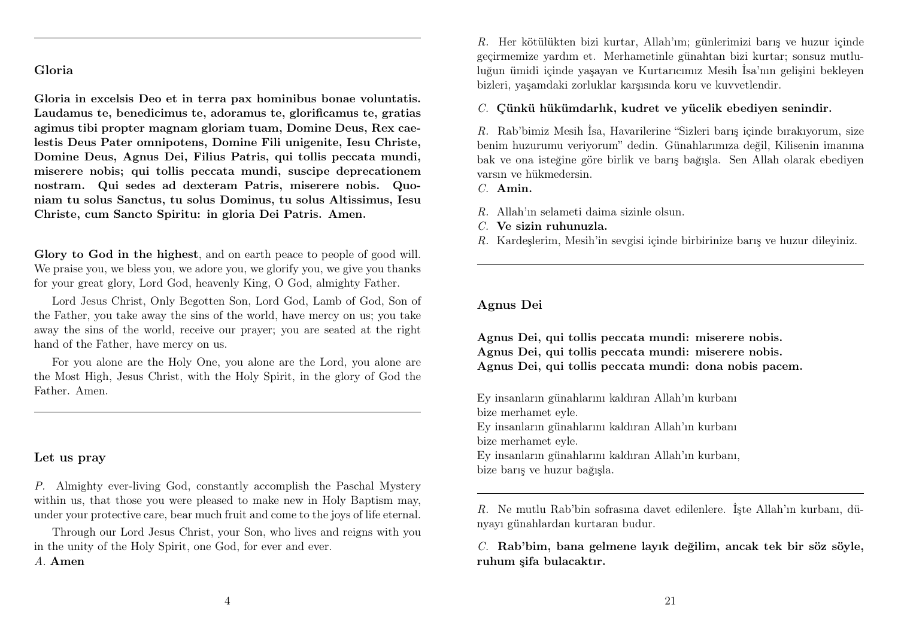#### Gloria

Gloria in excelsis Deo et in terra pax hominibus bonae voluntatis. Laudamus te, benedicimus te, adoramus te, glorificamus te, gratias agimus tibi propter magnam gloriam tuam, Domine Deus, Rex caelestis Deus Pater omnipotens, Domine Fili unigenite, Iesu Christe, Domine Deus, Agnus Dei, Filius Patris, qui tollis peccata mundi, miserere nobis; qui tollis peccata mundi, suscipe deprecationem nostram. Qui sedes ad dexteram Patris, miserere nobis. Quoniam tu solus Sanctus, tu solus Dominus, tu solus Altissimus, Iesu Christe, cum Sancto Spiritu: in gloria Dei Patris. Amen.

Glory to God in the highest, and on earth peace to people of good will. We praise you, we bless you, we adore you, we glorify you, we give you thanks for your great glory, Lord God, heavenly King, O God, almighty Father.

Lord Jesus Christ, Only Begotten Son, Lord God, Lamb of God, Son of the Father, you take away the sins of the world, have mercy on us; you take away the sins of the world, receive our prayer; you are seated at the right hand of the Father, have mercy on us.

For you alone are the Holy One, you alone are the Lord, you alone are the Most High, Jesus Christ, with the Holy Spirit, in the glory of God the Father. Amen.

#### Let us pray

P. Almighty ever-living God, constantly accomplish the Paschal Mystery within us, that those you were pleased to make new in Holy Baptism may, under your protective care, bear much fruit and come to the joys of life eternal.

Through our Lord Jesus Christ, your Son, who lives and reigns with you in the unity of the Holy Spirit, one God, for ever and ever.

A. Amen

R. Her kötülükten bizi kurtar, Allah'ım; günlerimizi barış ve huzur içinde geçirmemize yardım et. Merhametinle günahtan bizi kurtar; sonsuz mutluluğun ümidi içinde yaşayan ve Kurtarıcımız Mesih İsa'nın gelişini bekleyen bizleri, yaşamdaki zorluklar karşısında koru ve kuvvetlendir.

C. Çünkü hükümdarlık, kudret ve yücelik ebediyen senindir.

R. Rab'bimiz Mesih İsa, Havarilerine "Sizleri barış içinde bırakıyorum, size benim huzurumu veriyorum" dedin. Günahlarımıza değil, Kilisenin imanına bak ve ona isteğine göre birlik ve barış bağışla. Sen Allah olarak ebediyen varsın ve hükmedersin.

C. Amin.

- R. Allah'ın selameti daima sizinle olsun.
- C. Ve sizin ruhunuzla.
- R. Kardeşlerim, Mesih'in sevgisi içinde birbirinize barış ve huzur dileyiniz.

#### Agnus Dei

Agnus Dei, qui tollis peccata mundi: miserere nobis. Agnus Dei, qui tollis peccata mundi: miserere nobis. Agnus Dei, qui tollis peccata mundi: dona nobis pacem.

Ey insanların günahlarını kaldıran Allah'ın kurbanı bize merhamet eyle.

Ey insanların günahlarını kaldıran Allah'ın kurbanı bize merhamet eyle.

Ey insanların günahlarını kaldıran Allah'ın kurbanı, bize barış ve huzur bağışla.

R. Ne mutlu Rab'bin sofrasına davet edilenlere. İşte Allah'ın kurbanı, dünyayı günahlardan kurtaran budur.

C. Rab'bim, bana gelmene layık değilim, ancak tek bir söz söyle, ruhum şifa bulacaktır.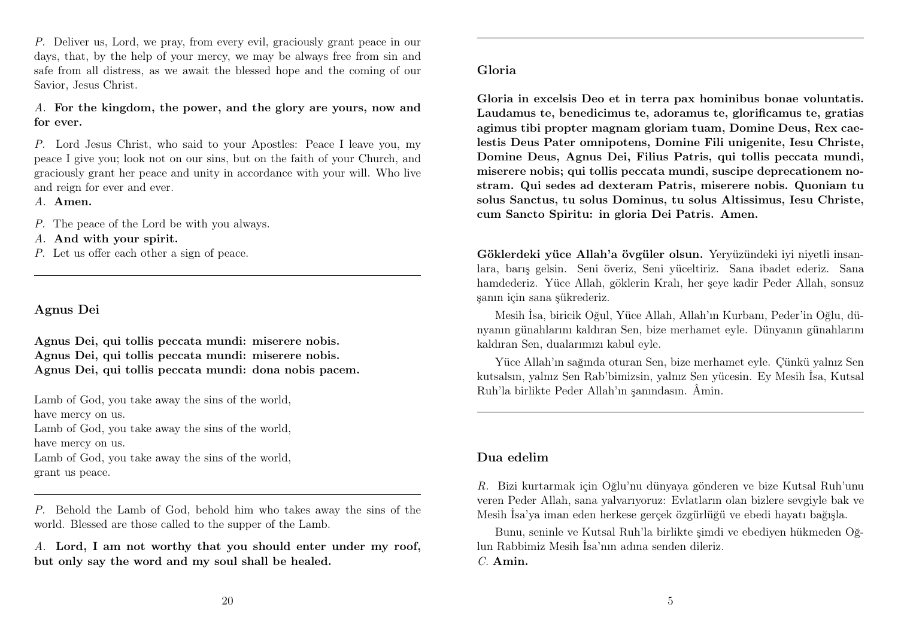P. Deliver us, Lord, we pray, from every evil, graciously grant peace in our days, that, by the help of your mercy, we may be always free from sin and safe from all distress, as we await the blessed hope and the coming of our Savior, Jesus Christ.

A. For the kingdom, the power, and the glory are yours, now and for ever.

P. Lord Jesus Christ, who said to your Apostles: Peace I leave you, my peace I give you; look not on our sins, but on the faith of your Church, and graciously grant her peace and unity in accordance with your will. Who live and reign for ever and ever.

A. Amen.

P. The peace of the Lord be with you always.

A. And with your spirit.

P. Let us offer each other a sign of peace.

#### Agnus Dei

Agnus Dei, qui tollis peccata mundi: miserere nobis. Agnus Dei, qui tollis peccata mundi: miserere nobis. Agnus Dei, qui tollis peccata mundi: dona nobis pacem.

Lamb of God, you take away the sins of the world, have mercy on us. Lamb of God, you take away the sins of the world, have mercy on us. Lamb of God, you take away the sins of the world, grant us peace.

P. Behold the Lamb of God, behold him who takes away the sins of the world. Blessed are those called to the supper of the Lamb.

A. Lord, I am not worthy that you should enter under my roof, but only say the word and my soul shall be healed.

Gloria in excelsis Deo et in terra pax hominibus bonae voluntatis. Laudamus te, benedicimus te, adoramus te, glorificamus te, gratias agimus tibi propter magnam gloriam tuam, Domine Deus, Rex caelestis Deus Pater omnipotens, Domine Fili unigenite, Iesu Christe, Domine Deus, Agnus Dei, Filius Patris, qui tollis peccata mundi, miserere nobis; qui tollis peccata mundi, suscipe deprecationem nostram. Qui sedes ad dexteram Patris, miserere nobis. Quoniam tu solus Sanctus, tu solus Dominus, tu solus Altissimus, Iesu Christe, cum Sancto Spiritu: in gloria Dei Patris. Amen.

Göklerdeki yüce Allah'a övgüler olsun. Yeryüzündeki iyi niyetli insanlara, barış gelsin. Seni överiz, Seni yüceltiriz. Sana ibadet ederiz. Sana hamdederiz. Yüce Allah, göklerin Kralı, her şeye kadir Peder Allah, sonsuz şanın için sana şükrederiz.

Mesih İsa, biricik Oğul, Yüce Allah, Allah'ın Kurbanı, Peder'in Oğlu, dünyanın günahlarını kaldıran Sen, bize merhamet eyle. Dünyanın günahlarını kaldıran Sen, dualarımızı kabul eyle.

Yüce Allah'ın sağında oturan Sen, bize merhamet eyle. Çünkü yalnız Sen kutsalsın, yalnız Sen Rab'bimizsin, yalnız Sen yücesin. Ey Mesih İsa, Kutsal Ruh'la birlikte Peder Allah'ın şanındasın. Âmin.

#### Dua edelim

R. Bizi kurtarmak için Oğlu'nu dünyaya gönderen ve bize Kutsal Ruh'unu veren Peder Allah, sana yalvarıyoruz: Evlatların olan bizlere sevgiyle bak ve Mesih İsa'ya iman eden herkese gerçek özgürlüğü ve ebedi hayatı bağışla.

Bunu, seninle ve Kutsal Ruh'la birlikte şimdi ve ebediyen hükmeden Oğlun Rabbimiz Mesih İsa'nın adına senden dileriz. C. Amin.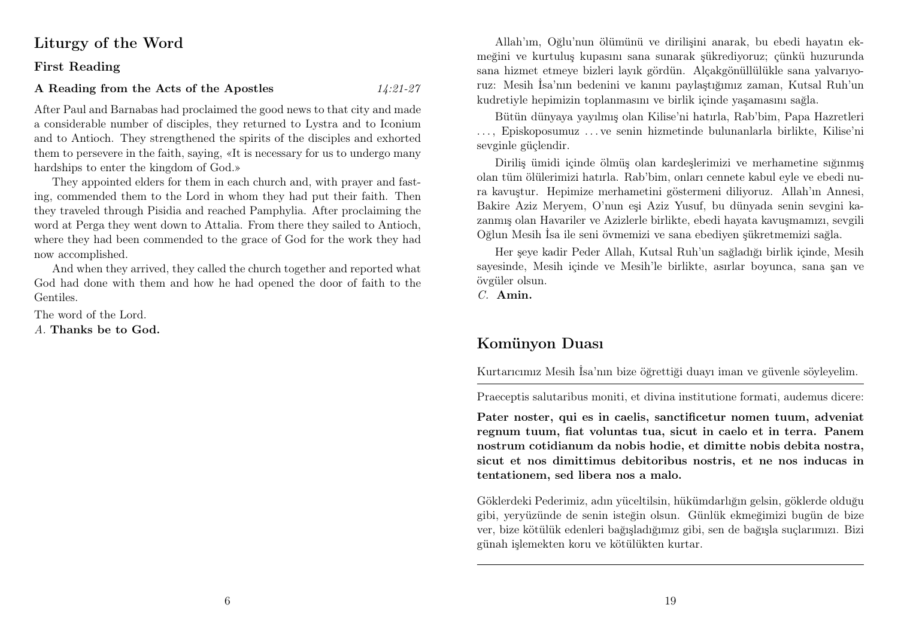# Liturgy of the Word

### First Reading

#### A Reading from the Acts of the Apostles  $14:21-27$

After Paul and Barnabas had proclaimed the good news to that city and made a considerable number of disciples, they returned to Lystra and to Iconium and to Antioch. They strengthened the spirits of the disciples and exhorted them to persevere in the faith, saying, «It is necessary for us to undergo many hardships to enter the kingdom of God.»

They appointed elders for them in each church and, with prayer and fasting, commended them to the Lord in whom they had put their faith. Then they traveled through Pisidia and reached Pamphylia. After proclaiming the word at Perga they went down to Attalia. From there they sailed to Antioch, where they had been commended to the grace of God for the work they had now accomplished.

And when they arrived, they called the church together and reported what God had done with them and how he had opened the door of faith to the Gentiles.

The word of the Lord. A. Thanks be to God.

Allah'ım, Oğlu'nun ölümünü ve dirilişini anarak, bu ebedi hayatın ekmeğini ve kurtuluş kupasını sana sunarak şükrediyoruz; çünkü huzurunda sana hizmet etmeye bizleri layık gördün. Alçakgönüllülükle sana yalvarıyoruz: Mesih İsa'nın bedenini ve kanını paylaştığımız zaman, Kutsal Ruh'un kudretiyle hepimizin toplanmasını ve birlik içinde yaşamasını sağla.

Bütün dünyaya yayılmış olan Kilise'ni hatırla, Rab'bim, Papa Hazretleri . . . , Episkoposumuz . . . ve senin hizmetinde bulunanlarla birlikte, Kilise'ni sevginle güçlendir.

Diriliş ümidi içinde ölmüş olan kardeşlerimizi ve merhametine sığınmış olan tüm ölülerimizi hatırla. Rab'bim, onları cennete kabul eyle ve ebedi nura kavuştur. Hepimize merhametini göstermeni diliyoruz. Allah'ın Annesi, Bakire Aziz Meryem, O'nun eşi Aziz Yusuf, bu dünyada senin sevgini kazanmış olan Havariler ve Azizlerle birlikte, ebedi hayata kavuşmamızı, sevgili Oğlun Mesih İsa ile seni övmemizi ve sana ebediyen şükretmemizi sağla.

Her şeye kadir Peder Allah, Kutsal Ruh'un sağladığı birlik içinde, Mesih sayesinde, Mesih içinde ve Mesih'le birlikte, asırlar boyunca, sana şan ve övgüler olsun.

C. Amin.

# Komünyon Duası

Kurtarıcımız Mesih İsa'nın bize öğrettiği duayı iman ve güvenle söyleyelim.

Praeceptis salutaribus moniti, et divina institutione formati, audemus dicere:

Pater noster, qui es in caelis, sanctificetur nomen tuum, adveniat regnum tuum, fiat voluntas tua, sicut in caelo et in terra. Panem nostrum cotidianum da nobis hodie, et dimitte nobis debita nostra, sicut et nos dimittimus debitoribus nostris, et ne nos inducas in tentationem, sed libera nos a malo.

Göklerdeki Pederimiz, adın yüceltilsin, hükümdarlığın gelsin, göklerde olduğu gibi, yeryüzünde de senin isteğin olsun. Günlük ekmeğimizi bugün de bize ver, bize kötülük edenleri bağışladığımız gibi, sen de bağışla suçlarımızı. Bizi günah işlemekten koru ve kötülükten kurtar.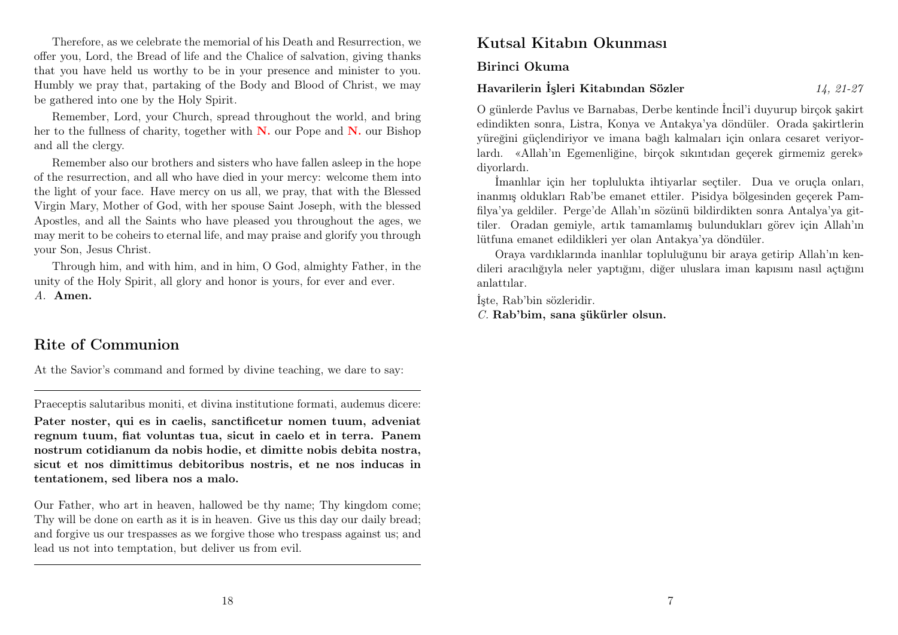Therefore, as we celebrate the memorial of his Death and Resurrection, we offer you, Lord, the Bread of life and the Chalice of salvation, giving thanks that you have held us worthy to be in your presence and minister to you. Humbly we pray that, partaking of the Body and Blood of Christ, we may be gathered into one by the Holy Spirit.

Remember, Lord, your Church, spread throughout the world, and bring her to the fullness of charity, together with  $N$ , our Pope and  $N$ , our Bishop and all the clergy.

Remember also our brothers and sisters who have fallen asleep in the hope of the resurrection, and all who have died in your mercy: welcome them into the light of your face. Have mercy on us all, we pray, that with the Blessed Virgin Mary, Mother of God, with her spouse Saint Joseph, with the blessed Apostles, and all the Saints who have pleased you throughout the ages, we may merit to be coheirs to eternal life, and may praise and glorify you through your Son, Jesus Christ.

Through him, and with him, and in him, O God, almighty Father, in the unity of the Holy Spirit, all glory and honor is yours, for ever and ever. A. Amen.

# Rite of Communion

At the Savior's command and formed by divine teaching, we dare to say:

Praeceptis salutaribus moniti, et divina institutione formati, audemus dicere:

Pater noster, qui es in caelis, sanctificetur nomen tuum, adveniat regnum tuum, fiat voluntas tua, sicut in caelo et in terra. Panem nostrum cotidianum da nobis hodie, et dimitte nobis debita nostra, sicut et nos dimittimus debitoribus nostris, et ne nos inducas in tentationem, sed libera nos a malo.

Our Father, who art in heaven, hallowed be thy name; Thy kingdom come; Thy will be done on earth as it is in heaven. Give us this day our daily bread; and forgive us our trespasses as we forgive those who trespass against us; and lead us not into temptation, but deliver us from evil.

# Kutsal Kitabın Okunması

Birinci Okuma

#### Havarilerin İsleri Kitabından Sözler 14, 21-27

O günlerde Pavlus ve Barnabas, Derbe kentinde İncil'i duyurup birçok şakirt edindikten sonra, Listra, Konya ve Antakya'ya döndüler. Orada şakirtlerin yüreğini güçlendiriyor ve imana bağlı kalmaları için onlara cesaret veriyorlardı. «Allah'ın Egemenliğine, birçok sıkıntıdan geçerek girmemiz gerek» diyorlardı.

İmanlılar için her toplulukta ihtiyarlar seçtiler. Dua ve oruçla onları, inanmış oldukları Rab'be emanet ettiler. Pisidya bölgesinden geçerek Pamfilya'ya geldiler. Perge'de Allah'ın sözünü bildirdikten sonra Antalya'ya gittiler. Oradan gemiyle, artık tamamlamış bulundukları görev için Allah'ın lütfuna emanet edildikleri yer olan Antakya'ya döndüler.

Oraya vardıklarında inanlılar topluluğunu bir araya getirip Allah'ın kendileri aracılığıyla neler yaptığını, diğer uluslara iman kapısını nasıl açtığını anlattılar.

İşte, Rab'bin sözleridir. C. Rab'bim, sana şükürler olsun.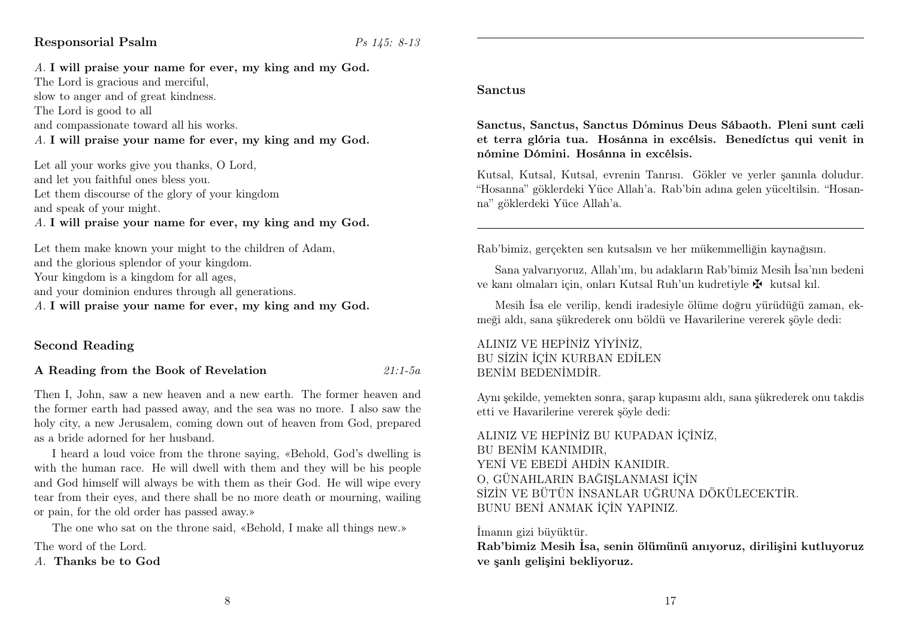#### A. I will praise your name for ever, my king and my God.

The Lord is gracious and merciful, slow to anger and of great kindness.

The Lord is good to all

and compassionate toward all his works.

A. I will praise your name for ever, my king and my God.

Let all your works give you thanks, O Lord, and let you faithful ones bless you. Let them discourse of the glory of your kingdom and speak of your might. A. I will praise your name for ever, my king and my God.

Let them make known your might to the children of Adam, and the glorious splendor of your kingdom. Your kingdom is a kingdom for all ages, and your dominion endures through all generations. A. I will praise your name for ever, my king and my God.

## Second Reading

### A Reading from the Book of Revelation 21:1-5a

Then I, John, saw a new heaven and a new earth. The former heaven and the former earth had passed away, and the sea was no more. I also saw the holy city, a new Jerusalem, coming down out of heaven from God, prepared as a bride adorned for her husband.

I heard a loud voice from the throne saying, «Behold, God's dwelling is with the human race. He will dwell with them and they will be his people and God himself will always be with them as their God. He will wipe every tear from their eyes, and there shall be no more death or mourning, wailing or pain, for the old order has passed away.»

The one who sat on the throne said, «Behold, I make all things new.»

The word of the Lord.

A. Thanks be to God

#### Sanctus

Sanctus, Sanctus, Sanctus Dóminus Deus Sábaoth. Pleni sunt cæli et terra glória tua. Hosánna in excélsis. Benedíctus qui venit in nómine Dómini. Hosánna in excélsis.

Kutsal, Kutsal, Kutsal, evrenin Tanrısı. Gökler ve yerler şanınla doludur. "Hosanna" göklerdeki Yüce Allah'a. Rab'bin adına gelen yüceltilsin. "Hosanna" göklerdeki Yüce Allah'a.

Rab'bimiz, gerçekten sen kutsalsın ve her mükemmelliğin kaynağısın.

Sana yalvarıyoruz, Allah'ım, bu adakların Rab'bimiz Mesih İsa'nın bedeni ve kanı olmaları için, onları Kutsal Ruh'un kudretiyle  $\mathbf{\Psi}$  kutsal kıl.

Mesih İsa ele verilip, kendi iradesiyle ölüme doğru yürüdüğü zaman, ekmeği aldı, sana şükrederek onu böldü ve Havarilerine vererek şöyle dedi:

## ALINIZ VE HEPİNİZ YİYİNİZ, BU SİZİN İÇİN KURBAN EDİLEN BENİM BEDENİMDİR.

Aynı şekilde, yemekten sonra, şarap kupasını aldı, sana şükrederek onu takdis etti ve Havarilerine vererek şöyle dedi:

ALINIZ VE HEPİNİZ BU KUPADAN İÇİNİZ, BU BENİM KANIMDIR, YENİ VE EBEDİ AHDİN KANIDIR. O, GÜNAHLARIN BAĞIŞLANMASI İÇİN SİZİN VE BÜTÜN İNSANLAR UĞRUNA DÖKÜLECEKTİR. BUNU BENİ ANMAK İÇİN YAPINIZ.

İmanın gizi büyüktür.

Rab'bimiz Mesih İsa, senin ölümünü anıyoruz, dirilişini kutluyoruz ve şanlı gelişini bekliyoruz.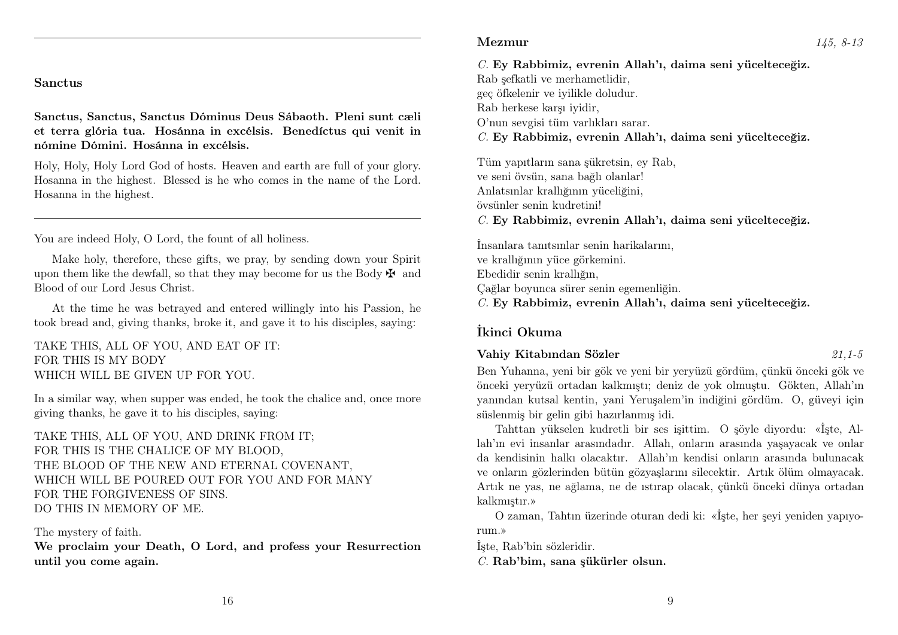Sanctus

Sanctus, Sanctus, Sanctus Dóminus Deus Sábaoth. Pleni sunt cæli et terra glória tua. Hosánna in excélsis. Benedíctus qui venit in nómine Dómini. Hosánna in excélsis.

Holy, Holy, Holy Lord God of hosts. Heaven and earth are full of your glory. Hosanna in the highest. Blessed is he who comes in the name of the Lord. Hosanna in the highest.

You are indeed Holy, O Lord, the fount of all holiness.

Make holy, therefore, these gifts, we pray, by sending down your Spirit upon them like the dewfall, so that they may become for us the Body  $\mathbf{\ddot{F}}$  and Blood of our Lord Jesus Christ.

At the time he was betrayed and entered willingly into his Passion, he took bread and, giving thanks, broke it, and gave it to his disciples, saying:

TAKE THIS, ALL OF YOU, AND EAT OF IT: FOR THIS IS MY BODY WHICH WILL BE GIVEN UP FOR YOU.

In a similar way, when supper was ended, he took the chalice and, once more giving thanks, he gave it to his disciples, saying:

TAKE THIS, ALL OF YOU, AND DRINK FROM IT; FOR THIS IS THE CHALICE OF MY BLOOD, THE BLOOD OF THE NEW AND ETERNAL COVENANT, WHICH WILL BE POURED OUT FOR YOU AND FOR MANY FOR THE FORGIVENESS OF SINS. DO THIS IN MEMORY OF ME.

#### The mystery of faith.

We proclaim your Death, O Lord, and profess your Resurrection until you come again.

C. Ey Rabbimiz, evrenin Allah'ı, daima seni yücelteceğiz. Rab şefkatli ve merhametlidir, geç öfkelenir ve iyilikle doludur. Rab herkese karşı iyidir, O'nun sevgisi tüm varlıkları sarar. C. Ey Rabbimiz, evrenin Allah'ı, daima seni yücelteceğiz.

Tüm yapıtların sana şükretsin, ey Rab, ve seni övsün, sana bağlı olanlar! Anlatsınlar krallığının yüceliğini, övsünler senin kudretini! C. Ey Rabbimiz, evrenin Allah'ı, daima seni yücelteceğiz.

İnsanlara tanıtsınlar senin harikalarını, ve krallığının yüce görkemini. Ebedidir senin krallığın, Çağlar boyunca sürer senin egemenliğin. C. Ey Rabbimiz, evrenin Allah'ı, daima seni yücelteceğiz.

## İkinci Okuma

#### Vahiy Kitabından Sözler 21,1-5

Ben Yuhanna, yeni bir gök ve yeni bir yeryüzü gördüm, çünkü önceki gök ve önceki yeryüzü ortadan kalkmıştı; deniz de yok olmuştu. Gökten, Allah'ın yanından kutsal kentin, yani Yeruşalem'in indiğini gördüm. O, güveyi için süslenmiş bir gelin gibi hazırlanmış idi.

Tahttan yükselen kudretli bir ses işittim. O şöyle diyordu: «İşte, Allah'ın evi insanlar arasındadır. Allah, onların arasında yaşayacak ve onlar da kendisinin halkı olacaktır. Allah'ın kendisi onların arasında bulunacak ve onların gözlerinden bütün gözyaşlarını silecektir. Artık ölüm olmayacak. Artık ne yas, ne ağlama, ne de ıstırap olacak, çünkü önceki dünya ortadan kalkmıştır.»

O zaman, Tahtın üzerinde oturan dedi ki: «İşte, her şeyi yeniden yapıyorum.»

İşte, Rab'bin sözleridir.

C. Rab'bim, sana şükürler olsun.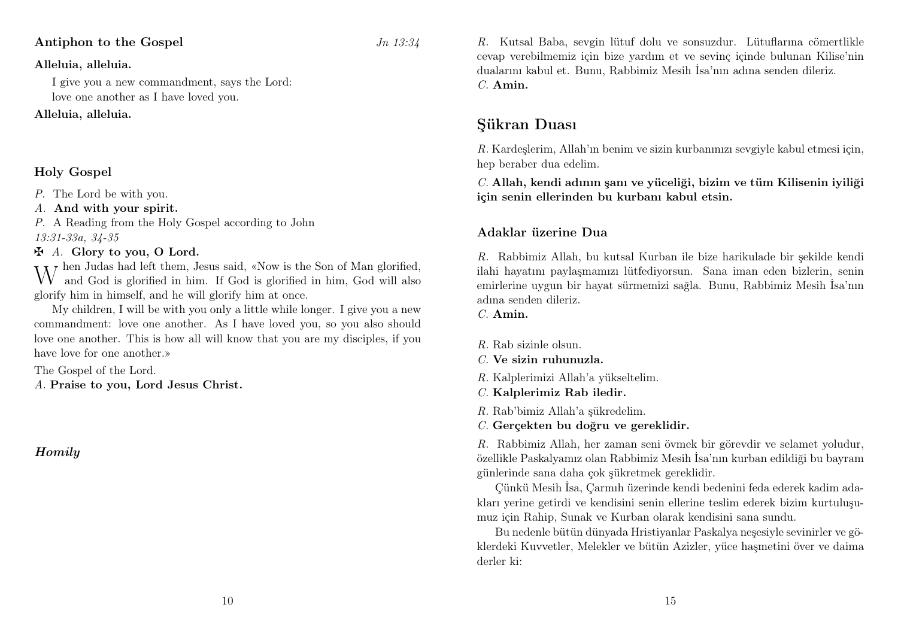Antiphon to the Gospel  $J_n$  13:34

#### Alleluia, alleluia.

I give you a new commandment, says the Lord: love one another as I have loved you.

#### Alleluia, alleluia.

# Holy Gospel

P. The Lord be with you.

A. And with your spirit.

P. A Reading from the Holy Gospel according to John 13:31-33a, 34-35

### $\mathbf{\ddot{A}}$ . Glory to you, O Lord.

W hen Judas had left them, Jesus said, «Now is the Son of Man glorified, and God is glorified in him. If God is glorified in him, God will also glorify him in himself, and he will glorify him at once.

My children, I will be with you only a little while longer. I give you a new commandment: love one another. As I have loved you, so you also should love one another. This is how all will know that you are my disciples, if you have love for one another.

The Gospel of the Lord.

A. Praise to you, Lord Jesus Christ.

Homily

R. Kutsal Baba, sevgin lütuf dolu ve sonsuzdur. Lütuflarına cömertlikle cevap verebilmemiz için bize yardım et ve sevinç içinde bulunan Kilise'nin dualarını kabul et. Bunu, Rabbimiz Mesih İsa'nın adına senden dileriz. C. Amin.

# Şükran Duası

R. Kardeşlerim, Allah'ın benim ve sizin kurbanınızı sevgiyle kabul etmesi için, hep beraber dua edelim.

C. Allah, kendi adının şanı ve yüceliği, bizim ve tüm Kilisenin iyiliği için senin ellerinden bu kurbanı kabul etsin.

# Adaklar üzerine Dua

R. Rabbimiz Allah, bu kutsal Kurban ile bize harikulade bir şekilde kendi ilahi hayatını paylaşmamızı lütfediyorsun. Sana iman eden bizlerin, senin emirlerine uygun bir hayat sürmemizi sağla. Bunu, Rabbimiz Mesih İsa'nın adına senden dileriz.

C. Amin.

- R. Rab sizinle olsun.
- $C$ . Ve sizin ruhunuzla.
- R. Kalplerimizi Allah'a yükseltelim.
- C. Kalplerimiz Rab iledir.

R. Rab'bimiz Allah'a şükredelim.

C. Gerçekten bu doğru ve gereklidir.

R. Rabbimiz Allah, her zaman seni övmek bir görevdir ve selamet yoludur, özellikle Paskalyamız olan Rabbimiz Mesih İsa'nın kurban edildiği bu bayram günlerinde sana daha çok şükretmek gereklidir.

Çünkü Mesih İsa, Çarmıh üzerinde kendi bedenini feda ederek kadim adakları yerine getirdi ve kendisini senin ellerine teslim ederek bizim kurtuluşumuz için Rahip, Sunak ve Kurban olarak kendisini sana sundu.

Bu nedenle bütün dünyada Hristiyanlar Paskalya neşesiyle sevinirler ve göklerdeki Kuvvetler, Melekler ve bütün Azizler, yüce haşmetini över ve daima derler ki: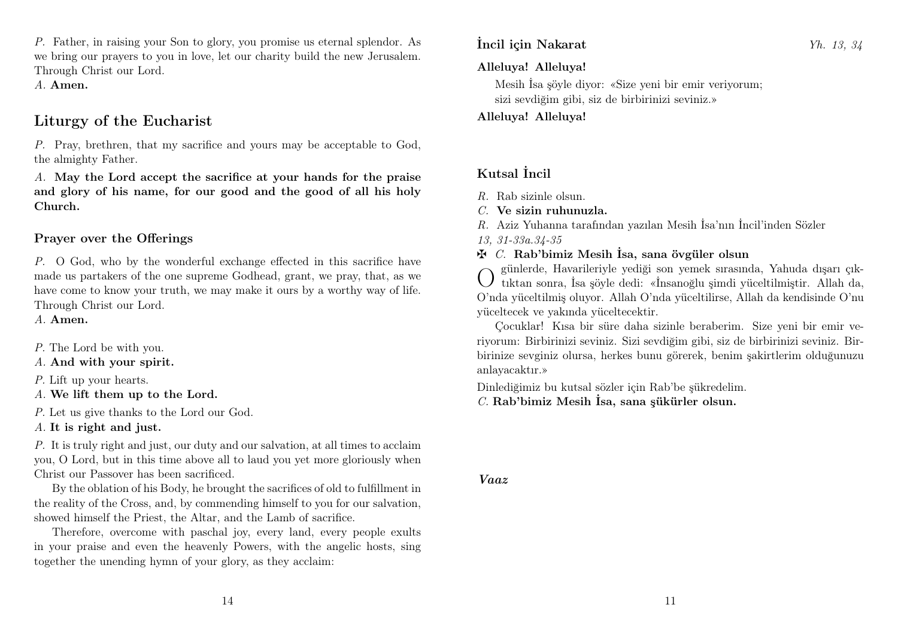P. Father, in raising your Son to glory, you promise us eternal splendor. As we bring our prayers to you in love, let our charity build the new Jerusalem. Through Christ our Lord.

A. Amen.

# Liturgy of the Eucharist

P. Pray, brethren, that my sacrifice and yours may be acceptable to God, the almighty Father.

A. May the Lord accept the sacrifice at your hands for the praise and glory of his name, for our good and the good of all his holy Church.

#### Prayer over the Offerings

P. O God, who by the wonderful exchange effected in this sacrifice have made us partakers of the one supreme Godhead, grant, we pray, that, as we have come to know your truth, we may make it ours by a worthy way of life. Through Christ our Lord.

A. Amen.

P. The Lord be with you.

A. And with your spirit.

P. Lift up your hearts.

A. We lift them up to the Lord.

P. Let us give thanks to the Lord our God.

A. It is right and just.

P. It is truly right and just, our duty and our salvation, at all times to acclaim you, O Lord, but in this time above all to laud you yet more gloriously when Christ our Passover has been sacrificed.

By the oblation of his Body, he brought the sacrifices of old to fulfillment in the reality of the Cross, and, by commending himself to you for our salvation, showed himself the Priest, the Altar, and the Lamb of sacrifice.

Therefore, overcome with paschal joy, every land, every people exults in your praise and even the heavenly Powers, with the angelic hosts, sing together the unending hymn of your glory, as they acclaim:

#### Alleluya! Alleluya!

Mesih İsa şöyle diyor: «Size yeni bir emir veriyorum; sizi sevdiğim gibi, siz de birbirinizi seviniz.»

Alleluya! Alleluya!

# Kutsal İncil

- R. Rab sizinle olsun.
- C. Ve sizin ruhunuzla.
- R. Aziz Yuhanna tarafından yazılan Mesih İsa'nın İncil'inden Sözler
- 13, 31-33a.34-35

 $\mathbf{\ddot{F}}$  C. Rab'bimiz Mesih İsa, sana övgüler olsun

O günlerde, Havarileriyle yediği son yemek sırasında, Yahuda dışarı çıktıktan sonra, İsa şöyle dedi: «İnsanoğlu şimdi yüceltilmiştir. Allah da, O'nda yüceltilmiş oluyor. Allah O'nda yüceltilirse, Allah da kendisinde O'nu yüceltecek ve yakında yüceltecektir.

Çocuklar! Kısa bir süre daha sizinle beraberim. Size yeni bir emir veriyorum: Birbirinizi seviniz. Sizi sevdiğim gibi, siz de birbirinizi seviniz. Birbirinize sevginiz olursa, herkes bunu görerek, benim şakirtlerim olduğunuzu anlayacaktır.»

Dinlediğimiz bu kutsal sözler için Rab'be şükredelim.

C. Rab'bimiz Mesih İsa, sana şükürler olsun.

Vaaz